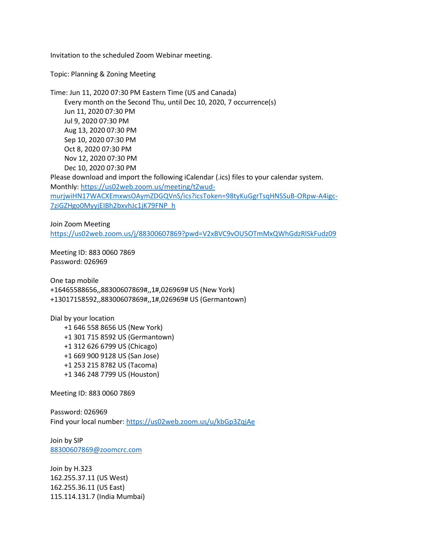Invitation to the scheduled Zoom Webinar meeting.

Topic: Planning & Zoning Meeting

Time: Jun 11, 2020 07:30 PM Eastern Time (US and Canada) Every month on the Second Thu, until Dec 10, 2020, 7 occurrence(s) Jun 11, 2020 07:30 PM Jul 9, 2020 07:30 PM Aug 13, 2020 07:30 PM Sep 10, 2020 07:30 PM Oct 8, 2020 07:30 PM Nov 12, 2020 07:30 PM Dec 10, 2020 07:30 PM Please download and import the following iCalendar (.ics) files to your calendar system. Monthly[: https://us02web.zoom.us/meeting/tZwud](https://us02web.zoom.us/meeting/tZwud-murjwiHN17WACXEmxwsOAymZDGQVnS/ics?icsToken=98tyKuGgrTsqHNSSuB-ORpw-A4igc-7ziGZHgo0MyyjEIBh2bxvhJc1jK79FNP_h)[murjwiHN17WACXEmxwsOAymZDGQVnS/ics?icsToken=98tyKuGgrTsqHNSSuB-ORpw-A4igc-](https://us02web.zoom.us/meeting/tZwud-murjwiHN17WACXEmxwsOAymZDGQVnS/ics?icsToken=98tyKuGgrTsqHNSSuB-ORpw-A4igc-7ziGZHgo0MyyjEIBh2bxvhJc1jK79FNP_h)[7ziGZHgo0MyyjEIBh2bxvhJc1jK79FNP\\_h](https://us02web.zoom.us/meeting/tZwud-murjwiHN17WACXEmxwsOAymZDGQVnS/ics?icsToken=98tyKuGgrTsqHNSSuB-ORpw-A4igc-7ziGZHgo0MyyjEIBh2bxvhJc1jK79FNP_h)

## Join Zoom Meeting <https://us02web.zoom.us/j/88300607869?pwd=V2xBVC9vOU5OTmMxQWhGdzRlSkFudz09>

Meeting ID: 883 0060 7869 Password: 026969

One tap mobile +16465588656,,88300607869#,,1#,026969# US (New York) +13017158592,,88300607869#,,1#,026969# US (Germantown)

Dial by your location +1 646 558 8656 US (New York) +1 301 715 8592 US (Germantown) +1 312 626 6799 US (Chicago) +1 669 900 9128 US (San Jose) +1 253 215 8782 US (Tacoma) +1 346 248 7799 US (Houston)

Meeting ID: 883 0060 7869

Password: 026969 Find your local number[: https://us02web.zoom.us/u/kbGp3ZqjAe](https://us02web.zoom.us/u/kbGp3ZqjAe)

Join by SIP [88300607869@zoomcrc.com](mailto:88300607869@zoomcrc.com)

Join by H.323 162.255.37.11 (US West) 162.255.36.11 (US East) 115.114.131.7 (India Mumbai)